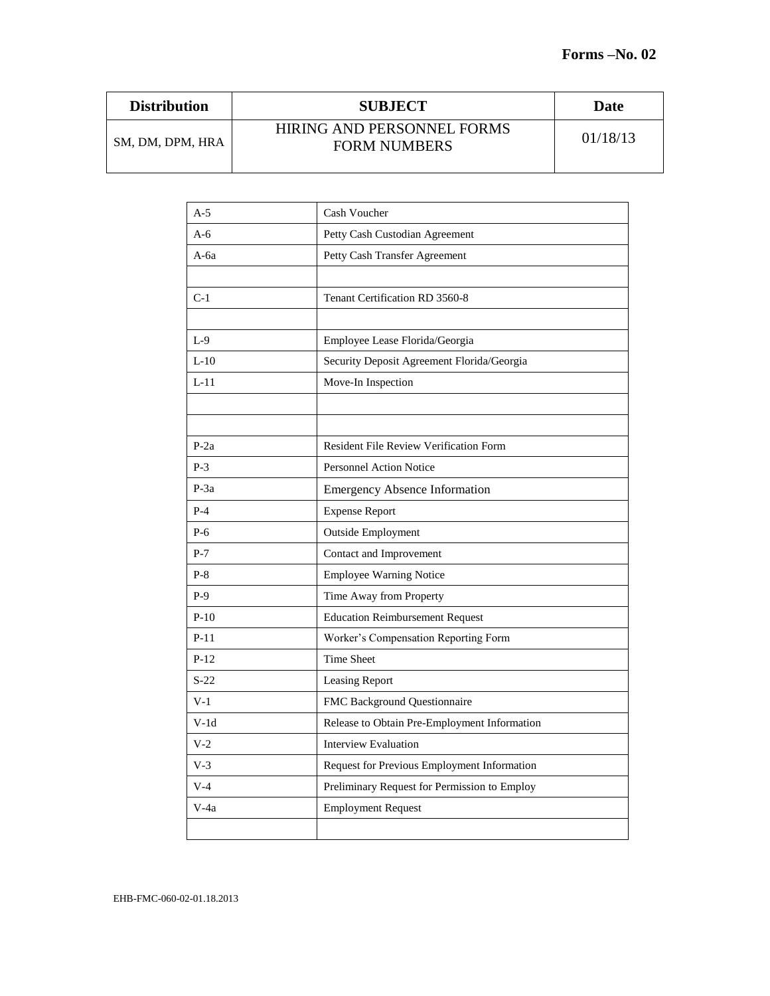| <b>Distribution</b> | <b>SUBJECT</b>                                    | Date     |
|---------------------|---------------------------------------------------|----------|
| SM, DM, DPM, HRA    | HIRING AND PERSONNEL FORMS<br><b>FORM NUMBERS</b> | 01/18/13 |

| $A-5$  | Cash Voucher                                  |
|--------|-----------------------------------------------|
| A- $6$ | Petty Cash Custodian Agreement                |
| A-6a   | Petty Cash Transfer Agreement                 |
|        |                                               |
| $C-1$  | Tenant Certification RD 3560-8                |
|        |                                               |
| $L-9$  | Employee Lease Florida/Georgia                |
| $L-10$ | Security Deposit Agreement Florida/Georgia    |
| $L-11$ | Move-In Inspection                            |
|        |                                               |
|        |                                               |
| $P-2a$ | <b>Resident File Review Verification Form</b> |
| $P-3$  | <b>Personnel Action Notice</b>                |
| $P-3a$ | <b>Emergency Absence Information</b>          |
| $P-4$  | <b>Expense Report</b>                         |
| P-6    | <b>Outside Employment</b>                     |
| $P-7$  | Contact and Improvement                       |
| $P-8$  | <b>Employee Warning Notice</b>                |
| $P-9$  | Time Away from Property                       |
| $P-10$ | <b>Education Reimbursement Request</b>        |
| $P-11$ | Worker's Compensation Reporting Form          |
| $P-12$ | <b>Time Sheet</b>                             |
| $S-22$ | Leasing Report                                |
| $V-1$  | <b>FMC Background Questionnaire</b>           |
| $V-1d$ | Release to Obtain Pre-Employment Information  |
| V-2    | <b>Interview Evaluation</b>                   |
| $V-3$  | Request for Previous Employment Information   |
| $V-4$  | Preliminary Request for Permission to Employ  |
| V-4a   | <b>Employment Request</b>                     |
|        |                                               |
|        |                                               |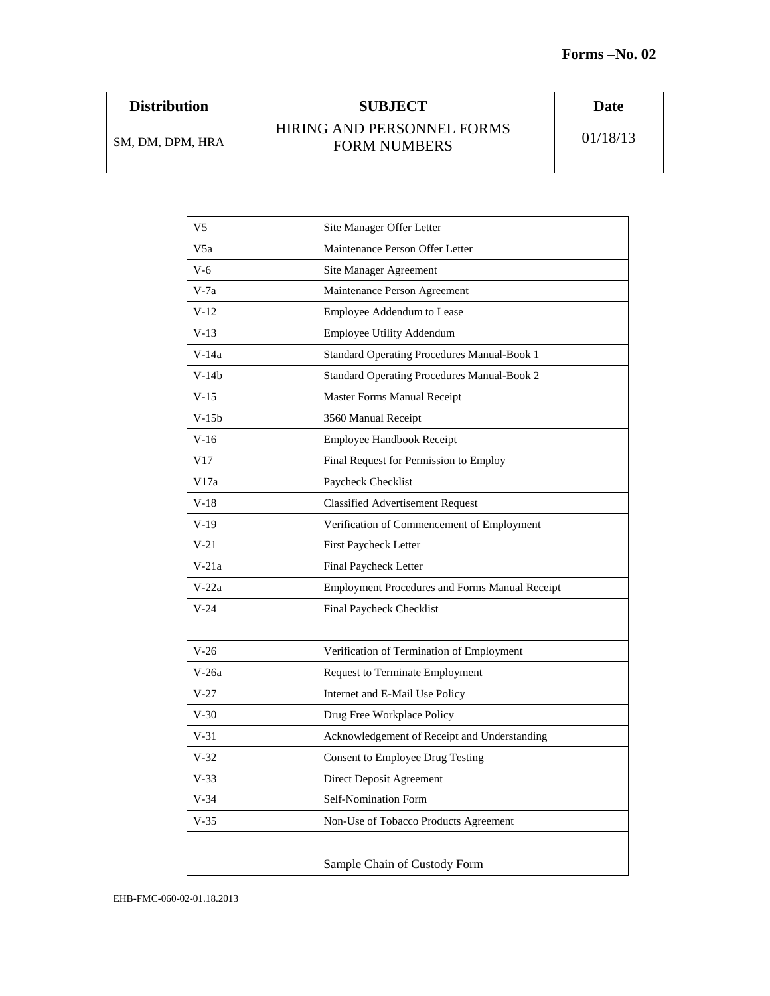| <b>Distribution</b> | <b>SUBJECT</b>                                    | Date     |
|---------------------|---------------------------------------------------|----------|
| SM, DM, DPM, HRA    | HIRING AND PERSONNEL FORMS<br><b>FORM NUMBERS</b> | 01/18/13 |

| Site Manager Offer Letter                      |
|------------------------------------------------|
|                                                |
| Maintenance Person Offer Letter                |
| Site Manager Agreement                         |
| Maintenance Person Agreement                   |
| Employee Addendum to Lease                     |
| Employee Utility Addendum                      |
| Standard Operating Procedures Manual-Book 1    |
| Standard Operating Procedures Manual-Book 2    |
| Master Forms Manual Receipt                    |
| 3560 Manual Receipt                            |
| Employee Handbook Receipt                      |
| Final Request for Permission to Employ         |
| Paycheck Checklist                             |
| <b>Classified Advertisement Request</b>        |
| Verification of Commencement of Employment     |
| First Paycheck Letter                          |
| Final Paycheck Letter                          |
| Employment Procedures and Forms Manual Receipt |
| Final Paycheck Checklist                       |
|                                                |
| Verification of Termination of Employment      |
| <b>Request to Terminate Employment</b>         |
| Internet and E-Mail Use Policy                 |
| Drug Free Workplace Policy                     |
| Acknowledgement of Receipt and Understanding   |
| Consent to Employee Drug Testing               |
| Direct Deposit Agreement                       |
| Self-Nomination Form                           |
| Non-Use of Tobacco Products Agreement          |
|                                                |
| Sample Chain of Custody Form                   |
|                                                |